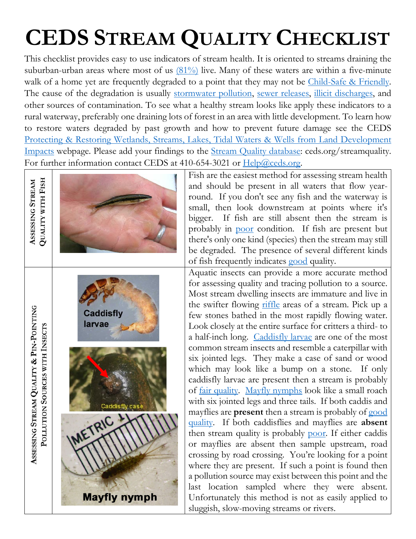## **CEDS STREAM QUALITY CHECKLIST**

This checklist provides easy to use indicators of stream health. It is oriented to streams draining the suburban-urban areas where most of us  $(81\%)$  live. Many of these waters are within a five-minute walk of a home yet are frequently degraded to a point that they may not be [Child-Safe & Friendly.](https://cedsnews.com/2013/06/27/kid-safe-waters-a-new-aquatic-resource-protection-goal/) The cause of the degradation is usually [stormwater pollution,](http://ceds.org/aquatic.html#Stormwater_Pollution) [sewer releases,](http://ceds.org/aquatic.html#Preventing_Wastewater_Collection_Impacts) [illicit discharges,](http://ceds.org/audit/FS-IllicitDischarge.pdf) and other sources of contamination. To see what a healthy stream looks like apply these indicators to a rural waterway, preferably one draining lots of forest in an area with little development. To learn how to restore waters degraded by past growth and how to prevent future damage see the CEDS [Protecting & Restoring Wetlands, Streams, Lakes, Tidal Waters & Wells from Land Development](http://ceds.org/aquatic.html)  [Impacts](http://ceds.org/aquatic.html) webpage. Please add your findings to the [Stream Quality database:](https://www.surveymonkey.com/r/VRJFGKX) ceds.org/streamquality. For further information contact CEDS at 410-654-3021 or [Help@ceds.org.](mailto:Help@ceds.org)